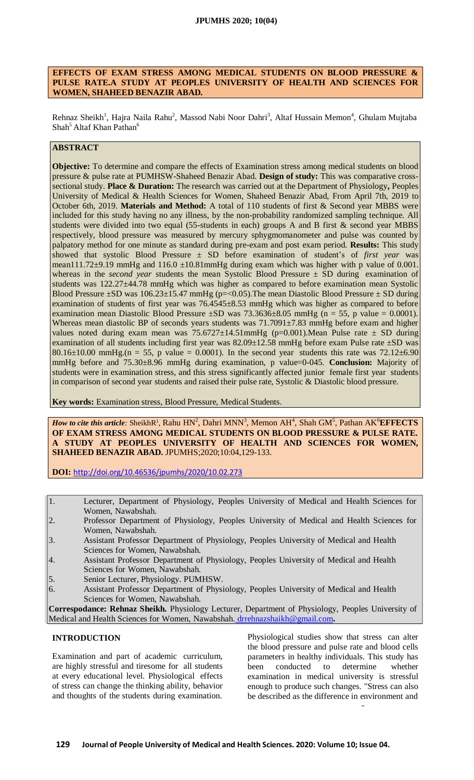### **EFFECTS OF EXAM STRESS AMONG MEDICAL STUDENTS ON BLOOD PRESSURE & PULSE RATE.A STUDY AT PEOPLES UNIVERSITY OF HEALTH AND SCIENCES FOR WOMEN, SHAHEED BENAZIR ABAD.**

Rehnaz Sheikh<sup>1</sup>, Hajra Naila Rahu<sup>2</sup>, Massod Nabi Noor Dahri<sup>3</sup>, Altaf Hussain Memon<sup>4</sup>, Ghulam Mujtaba Shah<sup>5</sup> Altaf Khan Pathan<sup>6</sup>

# **ABSTRACT**

**Objective:** To determine and compare the effects of Examination stress among medical students on blood pressure & pulse rate at PUMHSW-Shaheed Benazir Abad. **Design of study:** This was comparative crosssectional study. **Place & Duration:** The research was carried out at the Department of Physiology**,** Peoples University of Medical & Health Sciences for Women, Shaheed Benazir Abad, From April 7th, 2019 to October 6th, 2019. **Materials and Method:** A total of 110 students of first & Second year MBBS were included for this study having no any illness, by the non-probability randomized sampling technique. All students were divided into two equal (55-students in each) groups A and B first & second year MBBS respectively, blood pressure was measured by mercury sphygmomanometer and pulse was counted by palpatory method for one minute as standard during pre-exam and post exam period. **Results:** This study showed that systolic Blood Pressure ± SD before examination of student's of *first year* was mean111.72 $\pm$ 9.19 mmHg and 116.0  $\pm$ 10.81mmHg during exam which was higher with p value of 0.001. whereas in the *second year* students the mean Systolic Blood Pressure ± SD during examination of students was 122.27±44.78 mmHg which was higher as compared to before examination mean Systolic Blood Pressure  $\pm$ SD was 106.23 $\pm$ 15.47 mmHg (p=<0.05). The mean Diastolic Blood Pressure  $\pm$  SD during examination of students of first year was 76.4545±8.53 mmHg which was higher as compared to before examination mean Diastolic Blood Pressure  $\pm$ SD was 73.3636 $\pm$ 8.05 mmHg (n = 55, p value = 0.0001). Whereas mean diastolic BP of seconds years students was 71.7091±7.83 mmHg before exam and higher values noted during exam mean was  $75.6727 \pm 14.51$ mmHg (p=0.001).Mean Pulse rate  $\pm$  SD during examination of all students including first year was 82.09±12.58 mmHg before exam Pulse rate ±SD was 80.16 $\pm$ 10.00 mmHg.(n = 55, p value = 0.0001). In the second year students this rate was 72.12 $\pm$ 6.90 mmHg before and 75.30±8.96 mmHg during examination, p value=0-045. **Conclusion:** Majority of students were in examination stress, and this stress significantly affected junior female first year students in comparison of second year students and raised their pulse rate, Systolic & Diastolic blood pressure.

**Key words:** Examination stress, Blood Pressure, Medical Students.

*How to cite this article:* SheikhR<sup>1</sup>, Rahu HN<sup>2</sup>, Dahri MNN<sup>3</sup>, Memon AH<sup>4</sup>, Shah GM<sup>5</sup>, Pathan AK<sup>6</sup>EFFECTS **OF EXAM STRESS AMONG MEDICAL STUDENTS ON BLOOD PRESSURE & PULSE RATE. A STUDY AT PEOPLES UNIVERSITY OF HEALTH AND SCIENCES FOR WOMEN, SHAHEED BENAZIR ABAD.** JPUMHS;2020;10:04,129-133.

**DOI:** <http://doi.org/10.46536/jpumhs/2020/10.02.273>

- 1. Lecturer, Department of Physiology, Peoples University of Medical and Health Sciences for Women, Nawabshah.
- 2. Professor Department of Physiology, Peoples University of Medical and Health Sciences for Women, Nawabshah.
- 3. Assistant Professor Department of Physiology, Peoples University of Medical and Health Sciences for Women, Nawabshah.
- 4. Assistant Professor Department of Physiology, Peoples University of Medical and Health Sciences for Women, Nawabshah.
- 5. Senior Lecturer, Physiology. PUMHSW.
- 6. Assistant Professor Department of Physiology, Peoples University of Medical and Health Sciences for Women, Nawabshah.

**Correspodance: Rehnaz Sheikh.** Physiology Lecturer, Department of Physiology, Peoples University of Medical and Health Sciences for Women, Nawabshah. [drrehnazshaikh@gmail.com](mailto:Nawabshah.%20drrehnazshaikh@gmail.com)**.**

## **INTRODUCTION**

Examination and part of academic curriculum, are highly stressful and tiresome for all students at every educational level. Physiological effects of stress can change the thinking ability, behavior and thoughts of the students during examination.

Physiological studies show that stress can alter the blood pressure and pulse rate and blood cells parameters in healthy individuals. This study has been conducted to determine whether examination in medical university is stressful enough to produce such changes. "Stress can also be described as the difference in environment and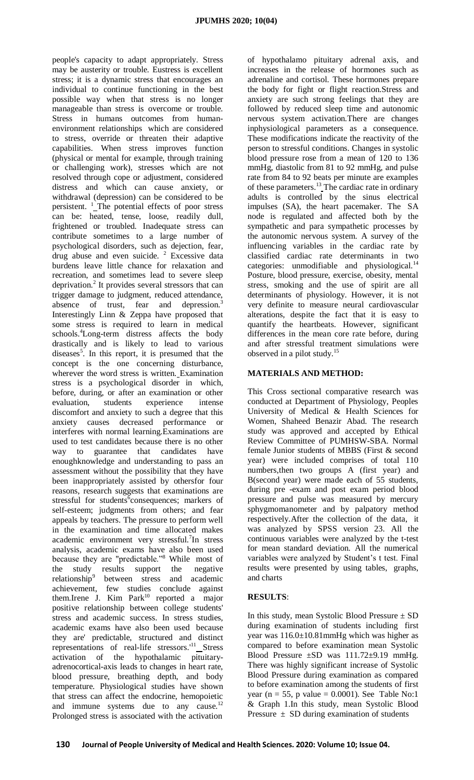people's capacity to adapt appropriately. Stress may be austerity or trouble. Eustress is excellent stress; it is a dynamic stress that encourages an individual to continue functioning in the best possible way when that stress is no longer manageable than stress is overcome or trouble. Stress in humans outcomes from humanenvironment relationships which are considered to stress, override or threaten their adaptive capabilities. When stress improves function (physical or mental for example, through training or challenging work), stresses which are not resolved through cope or adjustment, considered distress and which can cause anxiety, or withdrawal (depression) can be considered to be persistent. <sup>1</sup>\_The potential effects of poor stress can be: heated, tense, loose, readily dull, frightened or troubled. Inadequate stress can contribute sometimes to a large number of psychological disorders, such as dejection, fear, drug abuse and even suicide. <sup>2</sup> Excessive data burdens leave little chance for relaxation and recreation, and sometimes lead to severe sleep deprivation.<sup>2</sup> It provides several stressors that can trigger damage to judgment, reduced attendance, absence of trust, fear and depression.<sup>3</sup> Interestingly Linn & Zeppa have proposed that some stress is required to learn in medical schools.<sup>4</sup>Long-term distress affects the body drastically and is likely to lead to various diseases<sup>5</sup>. In this report, it is presumed that the concept is the one concerning disturbance, wherever the word stress is written. Examination stress is a psychological disorder in which, before, during, or after an examination or other evaluation, students experience intense discomfort and anxiety to such a degree that this anxiety causes decreased performance or interferes with normal learning.Examinations are used to test candidates because there is no other way to guarantee that candidates have enoughknowledge and understanding to pass an assessment without the possibility that they have been inappropriately assisted by othersfor four reasons, research suggests that examinations are stressful for students<sup>6</sup>consequences; markers of self-esteem; judgments from others; and fear appeals by teachers. The pressure to perform well in the examination and time allocated makes academic environment very stressful.<sup>7</sup> In stress analysis, academic exams have also been used because they are "predictable."<sup>8</sup> While most of the study results support the negative relationship<sup>9</sup> between stress and academic achievement, few studies conclude against them.Irene J. Kim  $Park<sup>10</sup>$  reported a major positive relationship between college students' stress and academic success. In stress studies, academic exams have also been used because they are' predictable, structured and distinct representations of real-life stressors.'<sup>11</sup> Stress activation of the hypothalamic pituitaryadrenocortical-axis leads to changes in heart rate, blood pressure, breathing depth, and body temperature. Physiological studies have shown that stress can affect the endocrine, hemopoietic and immune systems due to any cause.<sup>12</sup> Prolonged stress is associated with the activation

of hypothalamo pituitary adrenal axis, and increases in the release of hormones such as adrenaline and cortisol. These hormones prepare the body for fight or flight reaction.Stress and anxiety are such strong feelings that they are followed by reduced sleep time and autonomic nervous system activation.There are changes inphysiological parameters as a consequence. These modifications indicate the reactivity of the person to stressful conditions. Changes in systolic blood pressure rose from a mean of 120 to 136 mmHg, diastolic from 81 to 92 mmHg, and pulse rate from 84 to 92 beats per minute are examples of these parameters.<sup>13</sup> The cardiac rate in ordinary adults is controlled by the sinus electrical impulses (SA), the heart pacemaker. The SA node is regulated and affected both by the sympathetic and para sympathetic processes by the autonomic nervous system. A survey of the influencing variables in the cardiac rate by classified cardiac rate determinants in two categories: unmodifiable and physiological.<sup>14</sup> Posture, blood pressure, exercise, obesity, mental stress, smoking and the use of spirit are all determinants of physiology. However, it is not very definite to measure neural cardiovascular alterations, despite the fact that it is easy to quantify the heartbeats. However, significant differences in the mean core rate before, during and after stressful treatment simulations were observed in a pilot study.<sup>15</sup>

## **MATERIALS AND METHOD:**

This Cross sectional comparative research was conducted at Department of Physiology, Peoples University of Medical & Health Sciences for Women, Shaheed Benazir Abad. The research study was approved and accepted by Ethical Review Committee of PUMHSW-SBA. Normal female Junior students of MBBS (First & second year) were included comprises of total 110 numbers,then two groups A (first year) and B(second year) were made each of 55 students, during pre -exam and post exam period blood pressure and pulse was measured by mercury sphygmomanometer and by palpatory method respectively.After the collection of the data, it was analyzed by SPSS version 23. All the continuous variables were analyzed by the t-test for mean standard deviation. All the numerical variables were analyzed by Student's t test. Final results were presented by using tables, graphs, and charts

## **RESULTS**:

In this study, mean Systolic Blood Pressure  $\pm$  SD during examination of students including first year was 116.0±10.81mmHg which was higher as compared to before examination mean Systolic Blood Pressure  $\pm SD$  was  $111.72\pm9.19$  mmHg. There was highly significant increase of Systolic Blood Pressure during examination as compared to before examination among the students of first year ( $n = 55$ , p value = 0.0001). See Table No:1 & Graph 1.In this study, mean Systolic Blood Pressure  $\pm$  SD during examination of students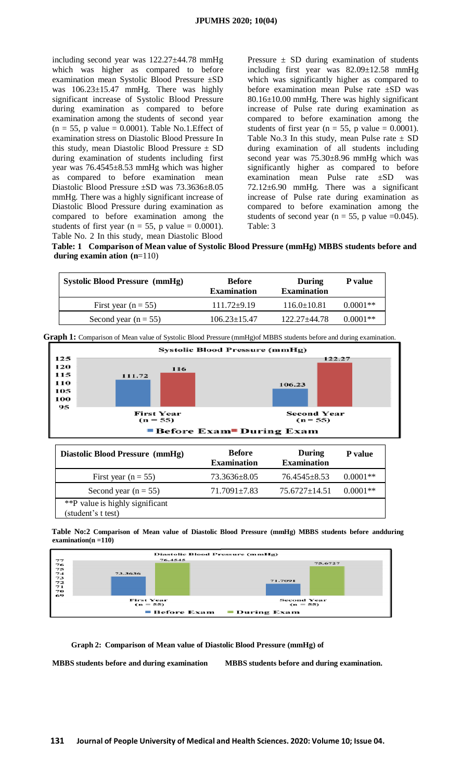including second year was 122.27±44.78 mmHg which was higher as compared to before examination mean Systolic Blood Pressure ±SD was 106.23±15.47 mmHg. There was highly significant increase of Systolic Blood Pressure during examination as compared to before examination among the students of second year  $(n = 55, p$  value = 0.0001). Table No.1. Effect of examination stress on Diastolic Blood Pressure In this study, mean Diastolic Blood Pressure  $\pm$  SD during examination of students including first year was 76.4545±8.53 mmHg which was higher as compared to before examination mean Diastolic Blood Pressure ±SD was 73.3636±8.05 mmHg. There was a highly significant increase of Diastolic Blood Pressure during examination as compared to before examination among the students of first year ( $n = 55$ , p value = 0.0001). Table No. 2 In this study, mean Diastolic Blood

Pressure  $\pm$  SD during examination of students including first year was 82.09±12.58 mmHg which was significantly higher as compared to before examination mean Pulse rate ±SD was 80.16±10.00 mmHg. There was highly significant increase of Pulse rate during examination as compared to before examination among the students of first year ( $n = 55$ , p value = 0.0001). Table No.3 In this study, mean Pulse rate  $\pm$  SD during examination of all students including second year was 75.30±8.96 mmHg which was significantly higher as compared to before examination mean Pulse rate ±SD was 72.12±6.90 mmHg. There was a significant increase of Pulse rate during examination as compared to before examination among the students of second year ( $n = 55$ , p value =0.045). Table: 3

**Table: 1 Comparison of Mean value of Systolic Blood Pressure (mmHg) MBBS students before and during examin ation (n**=110)

| <b>Before</b><br><b>Examination</b> | During<br><b>Examination</b> | P value    |
|-------------------------------------|------------------------------|------------|
| $111.72 \pm 9.19$                   | $116.0 \pm 10.81$            | $0.0001**$ |
| $106.23 + 15.47$                    | $122.27 + 44.78$             | $0.0001**$ |
|                                     |                              |            |

|                                |                                 | Graph 1: Comparison of Mean value of Systolic Blood Pressure (mmHg) of MBBS students before and during examination. |  |  |
|--------------------------------|---------------------------------|---------------------------------------------------------------------------------------------------------------------|--|--|
|                                |                                 | Systolic Blood Pressure (mmHg)                                                                                      |  |  |
| 125                            |                                 | 122.27                                                                                                              |  |  |
| 120                            | 116                             |                                                                                                                     |  |  |
| 115                            | 111.72                          |                                                                                                                     |  |  |
| 110                            |                                 | 106.23                                                                                                              |  |  |
| 105                            |                                 |                                                                                                                     |  |  |
| 100                            |                                 |                                                                                                                     |  |  |
| 95                             |                                 |                                                                                                                     |  |  |
|                                | <b>First Year</b><br>$(n = 55)$ | <b>Second Year</b><br>$(n = 55)$                                                                                    |  |  |
| <b>Before Exam During Exam</b> |                                 |                                                                                                                     |  |  |
|                                |                                 |                                                                                                                     |  |  |
|                                |                                 |                                                                                                                     |  |  |

| Diastolic Blood Pressure (mmHg)                       | <b>Before</b><br><b>Examination</b> | During<br><b>Examination</b> | <b>P</b> value |
|-------------------------------------------------------|-------------------------------------|------------------------------|----------------|
| First year $(n = 55)$                                 | 73.3636±8.05                        | $76.4545 \pm 8.53$           | $0.0001**$     |
| Second year $(n = 55)$                                | $71.7091 \pm 7.83$                  | $75.6727 \pm 14.51$          | $0.0001**$     |
| **P value is highly significant<br>(student's t test) |                                     |                              |                |

**Table No:2 Comparison of Mean value of Diastolic Blood Pressure (mmHg) MBBS students before andduring examination(n =110)**



**Graph 2: Comparison of Mean value of Diastolic Blood Pressure (mmHg) of**

**MBBS students before and during examination MBBS students before and during examination.**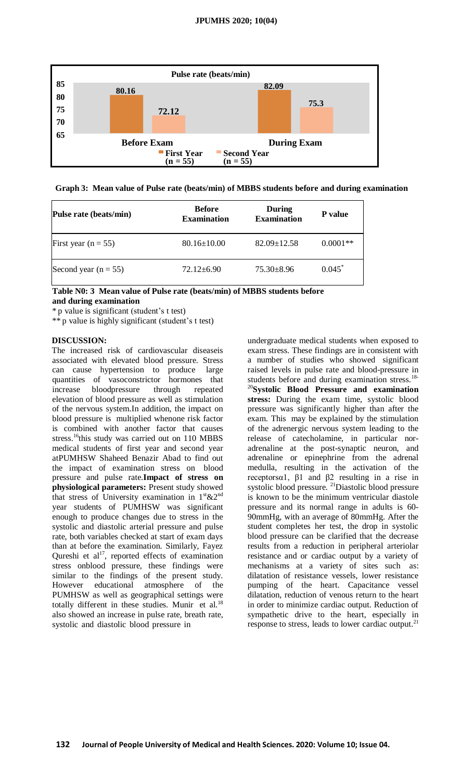

**Graph 3: Mean value of Pulse rate (beats/min) of MBBS students before and during examination**

| Pulse rate (beats/min)  | <b>Before</b><br><b>Examination</b> | During<br><b>Examination</b> | <b>P</b> value |
|-------------------------|-------------------------------------|------------------------------|----------------|
| First year ( $n = 55$ ) | $80.16 \pm 10.00$                   | $82.09 \pm 12.58$            | $0.0001**$     |
| Second year $(n = 55)$  | $72.12 \pm 6.90$                    | $75.30 \pm 8.96$             | $0.045^*$      |

**Table N0: 3 Mean value of Pulse rate (beats/min) of MBBS students before and during examination**

\* p value is significant (student's t test)

\*\* p value is highly significant (student's t test)

#### **DISCUSSION:**

The increased risk of cardiovascular diseaseis associated with elevated blood pressure. Stress can cause hypertension to produce large quantities of vasoconstrictor hormones that increase bloodpressure through repeated elevation of blood pressure as well as stimulation of the nervous system.In addition, the impact on blood pressure is multiplied whenone risk factor is combined with another factor that causes stress.<sup>16</sup>this study was carried out on 110 MBBS medical students of first year and second year atPUMHSW Shaheed Benazir Abad to find out the impact of examination stress on blood pressure and pulse rate.**Impact of stress on physiological parameters:** Present study showed that stress of University examination in  $1<sup>st</sup> \& 2<sup>nd</sup>$ year students of PUMHSW was significant enough to produce changes due to stress in the systolic and diastolic arterial pressure and pulse rate, both variables checked at start of exam days than at before the examination. Similarly, Fayez Qureshi et  $al^{17}$ , reported effects of examination stress onblood pressure, these findings were similar to the findings of the present study. However educational atmosphere of the PUMHSW as well as geographical settings were totally different in these studies. Munir et al. $^{18}$ also showed an increase in pulse rate, breath rate, systolic and diastolic blood pressure in

undergraduate medical students when exposed to exam stress. These findings are in consistent with a number of studies who showed significant raised levels in pulse rate and blood-pressure in students before and during examination stress.<sup>18-</sup> <sup>20</sup>**Systolic Blood Pressure and examination stress:** During the exam time, systolic blood pressure was significantly higher than after the exam. This may be explained by the stimulation of the adrenergic nervous system leading to the release of catecholamine, in particular noradrenaline at the post-synaptic neuron, and adrenaline or epinephrine from the adrenal medulla, resulting in the activation of the receptorsα1, β1 and β2 resulting in a rise in systolic blood pressure. <sup>21</sup>Diastolic blood pressure is known to be the minimum ventricular diastole pressure and its normal range in adults is 60- 90mmHg, with an average of 80mmHg. After the student completes her test, the drop in systolic blood pressure can be clarified that the decrease results from a reduction in peripheral arteriolar resistance and or cardiac output by a variety of mechanisms at a variety of sites such as: dilatation of resistance vessels, lower resistance pumping of the heart. Capacitance vessel dilatation, reduction of venous return to the heart in order to minimize cardiac output. Reduction of sympathetic drive to the heart, especially in response to stress, leads to lower cardiac output.<sup>2</sup>